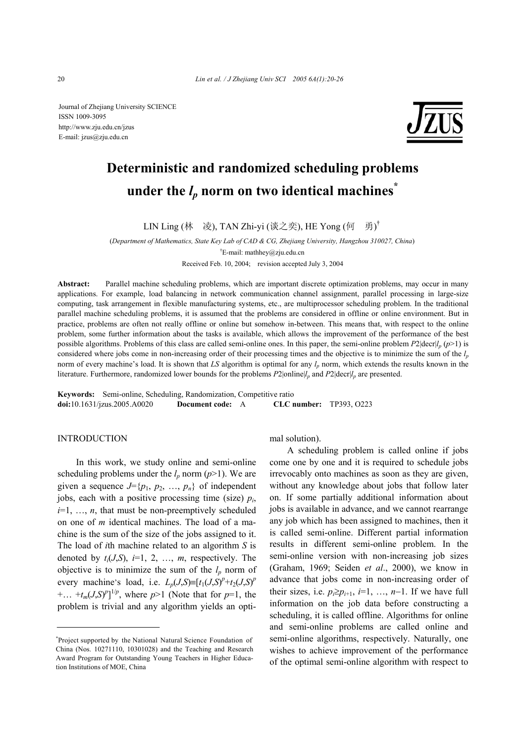Journal of Zhejiang University SCIENCE ISSN 1009-3095 http://www.zju.edu.cn/jzus E-mail: jzus@zju.edu.cn



# **Deterministic and randomized scheduling problems**  under the  $l_p$  norm on two identical machines<sup>\*</sup>

LIN Ling (林 凌), TAN Zhi-yi (谈之奕), HE Yong (何 勇)<sup>†</sup>

(*Department of Mathematics, State Key Lab of CAD & CG, Zhejiang University, Hangzhou 310027, China*)

† E-mail: mathhey@zju.edu.cn

Received Feb. 10, 2004; revision accepted July 3, 2004

**Abstract:** Parallel machine scheduling problems, which are important discrete optimization problems, may occur in many applications. For example, load balancing in network communication channel assignment, parallel processing in large-size computing, task arrangement in flexible manufacturing systems, etc., are multiprocessor scheduling problem. In the traditional parallel machine scheduling problems, it is assumed that the problems are considered in offline or online environment. But in practice, problems are often not really offline or online but somehow in-between. This means that, with respect to the online problem, some further information about the tasks is available, which allows the improvement of the performance of the best possible algorithms. Problems of this class are called semi-online ones. In this paper, the semi-online problem  $P2|\text{decr}|/n$  ( $p>1$ ) is considered where jobs come in non-increasing order of their processing times and the objective is to minimize the sum of the  $l_p$ norm of every machine's load. It is shown that *LS* algorithm is optimal for any  $l_n$  norm, which extends the results known in the literature. Furthermore, randomized lower bounds for the problems  $P2$ |online|*l<sub>p</sub>* and  $P2$ |decr|*l<sub>p</sub>* are presented.

**Keywords:** Semi-online, Scheduling, Randomization, Competitive ratio **doi:**10.1631/jzus.2005.A0020 **Document code:** A **CLC number:** TP393, O223

## **INTRODUCTION**

In this work, we study online and semi-online scheduling problems under the  $l_p$  norm  $(p>1)$ . We are given a sequence  $J=\{p_1, p_2, ..., p_n\}$  of independent jobs, each with a positive processing time (size) *pi*,  $i=1, \ldots, n$ , that must be non-preemptively scheduled on one of *m* identical machines. The load of a machine is the sum of the size of the jobs assigned to it. The load of *i*th machine related to an algorithm *S* is denoted by  $t_i(J,S)$ ,  $i=1, 2, ..., m$ , respectively. The objective is to minimize the sum of the  $l_p$  norm of every machine's load, i.e.  $L_p(J,S) \equiv [t_1(J,S)^p + t_2(J,S)^p]$  $+...$   $+t_m(J,S)^p$ <sup>1/*p*</sup>, where *p*>1 (Note that for *p*=1, the problem is trivial and any algorithm yields an optimal solution).

A scheduling problem is called online if jobs come one by one and it is required to schedule jobs irrevocably onto machines as soon as they are given, without any knowledge about jobs that follow later on. If some partially additional information about jobs is available in advance, and we cannot rearrange any job which has been assigned to machines, then it is called semi-online. Different partial information results in different semi-online problem. In the semi-online version with non-increasing job sizes (Graham, 1969; Seiden *et al*., 2000), we know in advance that jobs come in non-increasing order of their sizes, i.e.  $p_i \geq p_{i+1}$ , *i*=1, ..., *n*−1. If we have full information on the job data before constructing a scheduling, it is called offline. Algorithms for online and semi-online problems are called online and semi-online algorithms, respectively. Naturally, one wishes to achieve improvement of the performance of the optimal semi-online algorithm with respect to

<sup>\*</sup> Project supported by the National Natural Science Foundation of China (Nos. 10271110, 10301028) and the Teaching and Research Award Program for Outstanding Young Teachers in Higher Education Institutions of MOE, China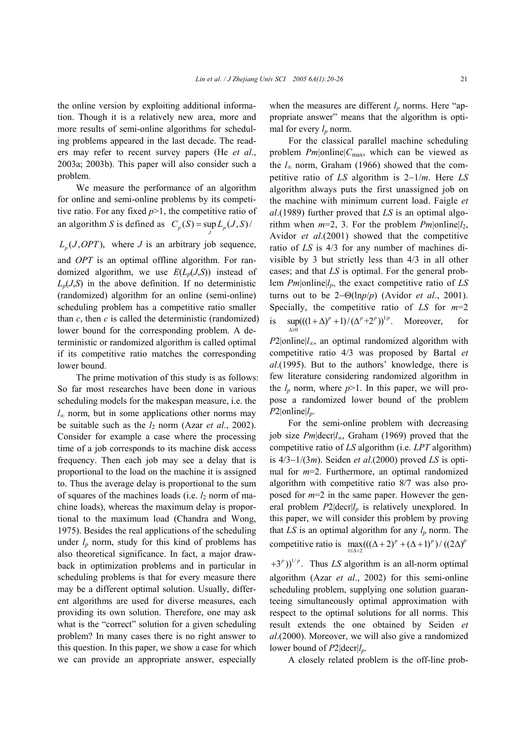the online version by exploiting additional information. Though it is a relatively new area, more and more results of semi-online algorithms for scheduling problems appeared in the last decade. The readers may refer to recent survey papers (He *et al*., 2003a; 2003b). This paper will also consider such a problem.

We measure the performance of an algorithm for online and semi-online problems by its competitive ratio. For any fixed  $p>1$ , the competitive ratio of an algorithm *S* is defined as  $C_p(S) = \sup_J L_p(J, S)$ 

 $L_n(J, OPT)$ , where *J* is an arbitrary job sequence,

and *OPT* is an optimal offline algorithm. For randomized algorithm, we use  $E(L_p(J,S))$  instead of  $L_p(J,S)$  in the above definition. If no deterministic (randomized) algorithm for an online (semi-online) scheduling problem has a competitive ratio smaller than  $c$ , then  $c$  is called the deterministic (randomized) lower bound for the corresponding problem. A deterministic or randomized algorithm is called optimal if its competitive ratio matches the corresponding lower bound.

The prime motivation of this study is as follows: So far most researches have been done in various scheduling models for the makespan measure, i.e. the *l*<sup>∞</sup> norm, but in some applications other norms may be suitable such as the *l*2 norm (Azar *et al*., 2002). Consider for example a case where the processing time of a job corresponds to its machine disk access frequency. Then each job may see a delay that is proportional to the load on the machine it is assigned to. Thus the average delay is proportional to the sum of squares of the machines loads (i.e. *l*2 norm of machine loads), whereas the maximum delay is proportional to the maximum load (Chandra and Wong, 1975). Besides the real applications of the scheduling under  $l_p$  norm, study for this kind of problems has also theoretical significance. In fact, a major drawback in optimization problems and in particular in scheduling problems is that for every measure there may be a different optimal solution. Usually, different algorithms are used for diverse measures, each providing its own solution. Therefore, one may ask what is the "correct" solution for a given scheduling problem? In many cases there is no right answer to this question. In this paper, we show a case for which we can provide an appropriate answer, especially

when the measures are different  $l_p$  norms. Here "appropriate answer" means that the algorithm is optimal for every  $l_p$  norm.

For the classical parallel machine scheduling problem *Pm*|online|*C*max, which can be viewed as the *l*∞ norm, Graham (1966) showed that the competitive ratio of *LS* algorithm is 2−1/*m*. Here *LS* algorithm always puts the first unassigned job on the machine with minimum current load. Faigle *et al*.(1989) further proved that *LS* is an optimal algorithm when  $m=2$ , 3. For the problem  $Pm$  |online | $l_2$ , Avidor *et al*.(2001) showed that the competitive ratio of *LS* is 4/3 for any number of machines divisible by 3 but strictly less than 4/3 in all other cases; and that *LS* is optimal. For the general problem *Pm*|online|*lp*, the exact competitive ratio of *LS* turns out to be 2−Θ(ln*p*/*p*) (Avidor *et al*., 2001). Specially, the competitive ratio of *LS* for *m*=2 is  $\sup(((1 + \Delta)^p + 1)/(\Delta^p + 2^p))^{1/p}$ . Moreover, for  $\mathbf{0}$ ∆≥

*P*2|online| $l$ ∞, an optimal randomized algorithm with competitive ratio 4/3 was proposed by Bartal *et al*.(1995). But to the authors' knowledge, there is few literature considering randomized algorithm in the  $l_p$  norm, where  $p > 1$ . In this paper, we will propose a randomized lower bound of the problem  $P2|online|l_p$ .

For the semi-online problem with decreasing job size *Pm*|decr|*l*∞, Graham (1969) proved that the competitive ratio of *LS* algorithm (i.e. *LPT* algorithm) is 4/3−1/(3*m*). Seiden *et al*.(2000) proved *LS* is optimal for *m*=2. Furthermore, an optimal randomized algorithm with competitive ratio 8/7 was also proposed for *m*=2 in the same paper. However the general problem  $P2|decr|l<sub>p</sub>$  is relatively unexplored. In this paper, we will consider this problem by proving that  $LS$  is an optimal algorithm for any  $l_p$  norm. The competitive ratio is  $\max_{1 \leq \Delta < 2} (((\Delta + 2)^p + (\Delta + 1)^p) / ((2\Delta)^p)$ 

 $(1+3<sup>p</sup>))$ <sup> $1/p$ </sup>. Thus *LS* algorithm is an all-norm optimal algorithm (Azar *et al*., 2002) for this semi-online scheduling problem, supplying one solution guaranteeing simultaneously optimal approximation with respect to the optimal solutions for all norms. This result extends the one obtained by Seiden *et al*.(2000). Moreover, we will also give a randomized lower bound of *P*2|decr|*l<sub>p</sub>*.

A closely related problem is the off-line prob-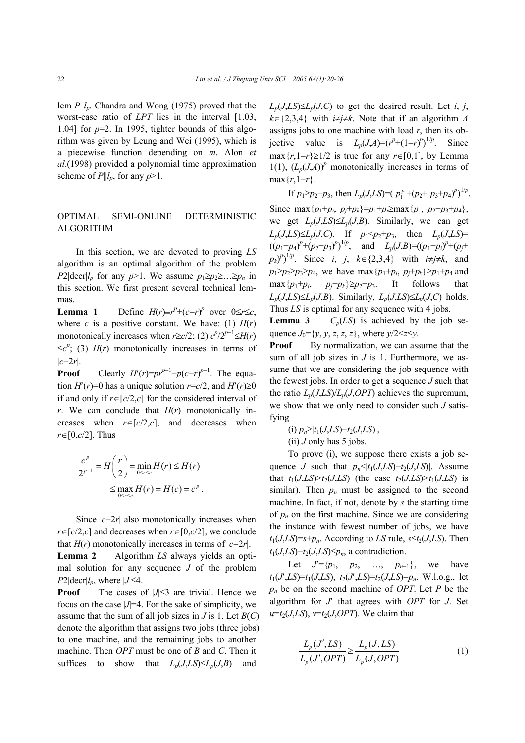lem *P*||*lp*. Chandra and Wong (1975) proved that the worst-case ratio of *LPT* lies in the interval [1.03, 1.04] for  $p=2$ . In 1995, tighter bounds of this algorithm was given by Leung and Wei (1995), which is a piecewise function depending on *m*. Alon *et al*.(1998) provided a polynomial time approximation scheme of  $P||l_p$ , for any  $p>1$ .

# OPTIMAL SEMI-ONLINE DETERMINISTIC ALGORITHM

 In this section, we are devoted to proving *LS* algorithm is an optimal algorithm of the problem *P*2|decr|*l<sub>p</sub>* for any *p*>1. We assume  $p_1 \geq p_2 \geq ... \geq p_n$  in this section. We first present several technical lemmas.

**Lemma 1** Define  $H(r) \equiv r^p + (c - r)^p$  over  $0 \le r \le c$ , where *c* is a positive constant. We have: (1)  $H(r)$ monotonically increases when  $r \ge c/2$ ; (2)  $c^p/2^{p-1} \le H(r)$  $\leq c^p$ ; (3) *H*(*r*) monotonically increases in terms of |*c*−2*r*|.

**Proof** Clearly  $H'(r)=pr^{p-1}-p(c-r)^{p-1}$ . The equation  $H'(r)=0$  has a unique solution  $r = c/2$ , and  $H'(r) \ge 0$ if and only if *r*∈[*c*/2,*c*] for the considered interval of  $r$ . We can conclude that  $H(r)$  monotonically increases when  $r \in [c/2,c]$ , and decreases when *r*∈[0,*c*/2]. Thus

$$
\frac{c^p}{2^{p-1}} = H\left(\frac{r}{2}\right) = \min_{0 \le r \le c} H(r) \le H(r)
$$

$$
\le \max_{0 \le r \le c} H(r) = H(c) = c^p.
$$

Since  $|c-2r|$  also monotonically increases when *r*∈[ $c/2$ , $c$ ] and decreases when *r*∈[0, $c/2$ ], we conclude that  $H(r)$  monotonically increases in terms of  $|c-2r|$ .

**Lemma 2** Algorithm *LS* always yields an optimal solution for any sequence *J* of the problem  $P2|\text{decr}|l_p$ , where  $|J| \leq 4$ .

**Proof** The cases of  $|J|≤3$  are trivial. Hence we focus on the case  $|J|=4$ . For the sake of simplicity, we assume that the sum of all job sizes in  $J$  is 1. Let  $B(C)$ denote the algorithm that assigns two jobs (three jobs) to one machine, and the remaining jobs to another machine. Then *OPT* must be one of *B* and *C*. Then it suffices to show that  $L_p(J,LS) \leq L_p(J, B)$  and

*L<sub>p</sub>*(*J*,*LS*)≤*L<sub>p</sub>*(*J*,*C*) to get the desired result. Let *i*, *j*, *k*∈{2,3,4} with *i*≠*j*≠*k*. Note that if an algorithm *A* assigns jobs to one machine with load  $r$ , then its objective value is  $L_p(J,A)=(r^p+(1-r)^p)^{1/p}$ . Since max ${r, 1-r}$ ≥1/2 is true for any  $r \in [0,1]$ , by Lemma 1(1),  $(L_p(J,A))^p$  monotonically increases in terms of max{*r*,1−*r*}.

If  $p_1 \geq p_2 + p_3$ , then  $L_p(J,LS) = (p_1^p + (p_2 + p_3 + p_4)^p)^{1/p}$ . Since max ${p_1+p_i, p_i+p_k} = p_1+p_i \ge \max{p_1, p_2+p_3+p_4}$ , we get  $L_p(J,LS) \leq L_p(J, B)$ . Similarly, we can get *L<sub>p</sub>*(*J*,*LS*)≤*L<sub>p</sub>*(*J*,*C*). If *p*<sub>1</sub><*p*<sub>2</sub>+*p*<sub>3</sub>, then *L<sub>p</sub>*(*J*,*LS*)=  $((p_1+p_4)^p+(p_2+p_3)^p)^{1/p}$ , and  $L_p(J,B)=(p_1+p_i)^p+(p_j+p_j)^{p-1/p}$  $p_k$ <sup>*p*</sup>)<sup>1/*p*</sup>. Since *i*, *j*, *k*∈{2,3,4} with *i*≠*j*≠*k*, and *p*<sub>1</sub>≥*p*<sub>2</sub>≥*p*<sub>3</sub>≥*p*<sub>4</sub>, we have max {*p*<sub>1</sub>+*p<sub>i</sub>*, *p*<sub>*i*</sub>+*p<sub>k</sub>*}≥*p*<sub>1</sub>+*p*<sub>4</sub> and  $\max\{p_1+p_i, \quad p_j+p_k\} \geq p_2+p_3.$  It follows that  $L_p(J,LS) \leq L_p(J, B)$ . Similarly,  $L_p(J,LS) \leq L_p(J, C)$  holds. Thus *LS* is optimal for any sequence with 4 jobs.

**Lemma 3**  $C_p(LS)$  is achieved by the job sequence  $J_0 = \{y, y, z, z, z\}$ , where  $y/2 \le z \le y$ .

**Proof** By normalization, we can assume that the sum of all job sizes in *J* is 1. Furthermore, we assume that we are considering the job sequence with the fewest jobs. In order to get a sequence *J* such that the ratio  $L_p(J, LS)/L_p(J, OPT)$  achieves the supremum, we show that we only need to consider such *J* satisfying

(i) 
$$
p_n \ge |t_1(J,LS) - t_2(J,LS)|
$$
,

 $(ii)$  *J* only has 5 jobs.

To prove (i), we suppose there exists a job sequence *J* such that  $p_n \le |t_1(J,LS) - t_2(J,LS)|$ . Assume that  $t_1(J,LS) \geq t_2(J,LS)$  (the case  $t_2(J,LS) \geq t_1(J,LS)$  is similar). Then  $p_n$  must be assigned to the second machine. In fact, if not, denote by *s* the starting time of  $p_n$  on the first machine. Since we are considering the instance with fewest number of jobs, we have  $t_1(J,LS) = s + p_n$ . According to *LS* rule,  $s \le t_2(J,LS)$ . Then  $t_1$ (*J*,*LS*)− $t_2$ (*J*,*LS*)≤ $p_n$ , a contradiction.

Let  $J'={p_1, p_2, ..., p_{n-1}}$ , we have *t*1(*J*′,*LS*)=*t*1(*J*,*LS*), *t*2(*J*′,*LS*)=*t*2(*J*,*LS*)−*pn*. W.l.o.g., let *pn* be on the second machine of *OPT*. Let *P* be the algorithm for *J*′ that agrees with *OPT* for *J*. Set  $u=t_2(J,LS)$ ,  $v=t_2(J,OPT)$ . We claim that

$$
\frac{L_p(J',LS)}{L_p(J',OPT)} \ge \frac{L_p(J,LS)}{L_p(J,OPT)}\tag{1}
$$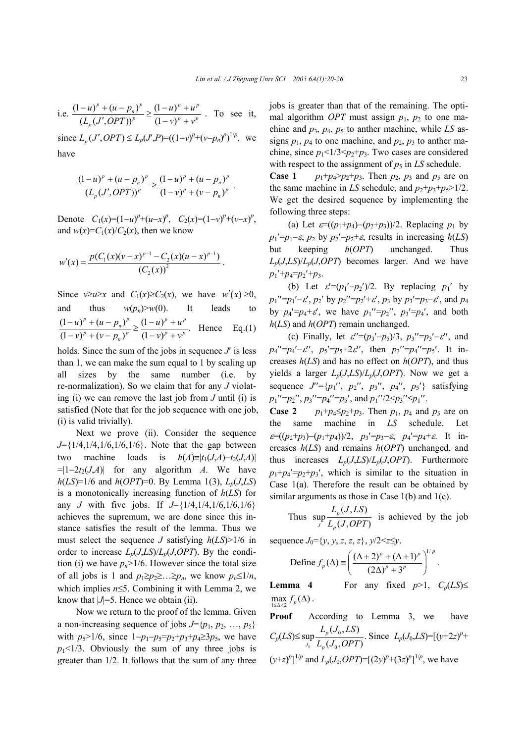i.e. 
$$
\frac{(1-u)^p + (u-p_n)^p}{(L_p(J',OPT))^p} \ge \frac{(1-u)^p + u^p}{(1-v)^p + v^p}
$$
. To see it,

since  $L_p(J', OPT)$  ≤  $L_p(J', P) = ((1 - v)^p + (v - p_n)^p)^{1/p}$ , we have

$$
\frac{(1-u)^p + (u-p_n)^p}{(L_p(J',OPT))^p} \geq \frac{(1-u)^p + (u-p_n)^p}{(1-v)^p + (v-p_n)^p}.
$$

Denote  $C_1(x)=(1-u)^p+(u-x)^p$ ,  $C_2(x)=(1-v)^p+(v-x)^p$ , and  $w(x)=C_1(x)/C_2(x)$ , then we know

$$
w'(x) = \frac{p(C_1(x)(v-x)^{p-1} - C_2(x)(u-x)^{p-1})}{(C_2(x))^2}.
$$

Since  $v \ge u \ge x$  and  $C_1(x) \ge C_2(x)$ , we have  $w'(x) \ge 0$ , and thus  $w(p_n) > w(0)$ . It leads to  $\frac{(1-u)^p + (u-p_n)^p}{(1-v)^p + (v-p_n)^p} \geq \frac{(1-u)^p + u^p}{(1-v)^p + v^p}.$  $(u)^p + (u - p_n)^p$  (1-u)<sup>p</sup> + u  $(v - p_n)^p$   $\left[ (1 - v)^p + v^q \right]$  $\frac{(-u)^p + (u - p_n)^p}{\sum_{n=0}^{\infty} (1 - u)^n} \geq \frac{(1 - u)^p + (u - p_n)^p}{\sum_{n=0}^{\infty} (1 - u)^n}$  $(-v)^p + (v - p_n)^p = (1 - v)^p +$ Hence Eq.(1)

holds. Since the sum of the jobs in sequence  $J'$  is less than 1, we can make the sum equal to 1 by scaling up all sizes by the same number (i.e. by re-normalization). So we claim that for any *J* violating (i) we can remove the last job from *J* until (i) is satisfied (Note that for the job sequence with one job, (i) is valid trivially).

Next we prove (ii). Consider the sequence *J*={1/4,1/4,1/6,1/6,1/6}. Note that the gap between two machine loads is  $h(A) \equiv |t_1(J,A) - t_2(J,A)|$  $=|1-2t_2(J,A)|$  for any algorithm *A*. We have  $h(LS) = 1/6$  and  $h(OPT) = 0$ . By Lemma 1(3),  $L_p(J, LS)$ is a monotonically increasing function of *h*(*LS*) for any *J* with five jobs. If  $J = \{1/4, 1/4, 1/6, 1/6, 1/6\}$ achieves the supremum, we are done since this instance satisfies the result of the lemma. Thus we must select the sequence *J* satisfying *h*(*LS*)>1/6 in order to increase  $L_p(J, LS)/L_p(J, OPT)$ . By the condition (i) we have  $p_n$ >1/6. However since the total size of all jobs is 1 and  $p_1 \geq p_2 \geq \ldots \geq p_n$ , we know  $p_n \leq 1/n$ , which implies *n*≤5. Combining it with Lemma 2, we know that  $|J|=5$ . Hence we obtain (ii).

Now we return to the proof of the lemma. Given a non-increasing sequence of jobs  $J=\{p_1, p_2, ..., p_5\}$ with  $p_5 > 1/6$ , since  $1-p_1-p_5=p_2+p_3+p_4 \ge 3p_5$ , we have  $p_1$ <1/3. Obviously the sum of any three jobs is greater than 1/2. It follows that the sum of any three jobs is greater than that of the remaining. The optimal algorithm *OPT* must assign  $p_1$ ,  $p_2$  to one machine and *p*3, *p*4, *p*5 to anther machine, while *LS* assigns  $p_1$ ,  $p_4$  to one machine, and  $p_2$ ,  $p_3$  to anther machine, since  $p_1 < 1/3 < p_2+p_3$ . Two cases are considered with respect to the assignment of  $p_5$  in *LS* schedule.

**Case 1** *p*<sub>1</sub>+*p*<sub>4</sub>>*p*<sub>2</sub>+*p*<sub>3</sub>. Then *p*<sub>2</sub>, *p*<sub>3</sub> and *p*<sub>5</sub> are on the same machine in LS schedule, and  $p_2+p_3+p_5>1/2$ . We get the desired sequence by implementing the following three steps:

(a) Let  $\varepsilon=(p_1+p_4)-(p_2+p_3)/2$ . Replacing  $p_1$  by  $p_1' = p_1 - \varepsilon$ ,  $p_2$  by  $p_2' = p_2 + \varepsilon$ , results in increasing  $h(LS)$ but keeping *h*(*OPT*) unchanged. Thus  $L_p(J, LS)/L_p(J, OPT)$  becomes larger. And we have  $p_1'$ + $p_4$ = $p_2'$ + $p_3$ .

(b) Let  $\varepsilon'=(p_1'-p_2')/2$ . By replacing  $p_1'$  by  $p_1$ ''= $p_1'$ '- $\varepsilon'$ ,  $p_2$ ' by  $p_2$ ''= $p_2'$ + $\varepsilon'$ ,  $p_3$  by  $p_3'$ = $p_3$ - $\varepsilon'$ , and  $p_4$ by  $p_4' = p_4 + \varepsilon'$ , we have  $p_1'' = p_2''$ ,  $p_3' = p_4'$ , and both *h*(*LS*) and *h*(*OPT*) remain unchanged.

(c) Finally, let  $\varepsilon' = (p_3'-p_5)/3$ ,  $p_3''=p_3'-\varepsilon'$ , and  $p_4''=p_4'-\epsilon''$ ,  $p_5'=p_5+2\epsilon''$ , then  $p_3''=p_4''=p_5'$ . It increases *h*(*LS*) and has no effect on *h*(*OPT*), and thus yields a larger  $L_p(J, LS)/L_p(J, OPT)$ . Now we get a sequence  $J' = \{p_1'', p_2'', p_3'', p_4'', p_5'\}$  satisfying  $p_1$ ′′= $p_2$ ′′,  $p_3$ ′′= $p_4$ ′′= $p_5$ ′, and  $p_1$ ′′/2< $p_3$ ′′≤ $p_1$ ′′.

**Case 2** *p*<sub>1</sub>+ $p_4 \leq p_2 + p_3$ . Then  $p_1$ ,  $p_4$  and  $p_5$  are on the same machine in *LS* schedule. Let  $\varepsilon$ =(( $p_2+p_3$ )−( $p_1+p_4$ ))/2,  $p_3$ '= $p_3$ −ε,  $p_4$ '= $p_4$ +ε. It increases *h*(*LS*) and remains *h*(*OPT*) unchanged, and thus increases  $L_p(J, LS)/L_p(J, OPT)$ . Furthermore  $p_1+p_4'=p_2+p_3'$ , which is similar to the situation in Case 1(a). Therefore the result can be obtained by similar arguments as those in Case 1(b) and 1(c).

Thus 
$$
\sup_{J} \frac{L_p(J,LS)}{L_p(J,OPT)}
$$
 is achieved by the job

sequence  $J_0 = \{y, y, z, z, z\}, y/2 \le z \le y$ .

Define 
$$
f_p(\Delta) \equiv \left( \frac{(\Delta + 2)^p + (\Delta + 1)^p}{(2\Delta)^p + 3^p} \right)^{1/p}
$$
.

**Lemma 4** For any fixed  $p>1$ ,  $C_p(LS) \leq$  $\max_{1 \leq \Delta < 2} f_p(\Delta)$ .

**Proof** According to Lemma 3, we have  $C_p(LS) \leq \sup_{J_0}$ 0 0  $(J_{0}, LS)$  $\sup_{J_0} \frac{L_p(\sigma_0, B)}{L_p(J_0, OPT)}$ .  $J_0$   $L_p$  $L_n(J_0, LS)$  $\frac{L_p(J_0, L_S)}{L_p(J_0, OPT)}$ . Since  $L_p(J_0, LS) = [(y+2z)^p +$  $(y+z)^p$ <sup>1/*p*</sup> and  $L_p(J_0, OPT)$ =[(2*y*)<sup>*p*</sup>+(3*z*)<sup>*p*</sup>]<sup>1/*p*</sup>, we have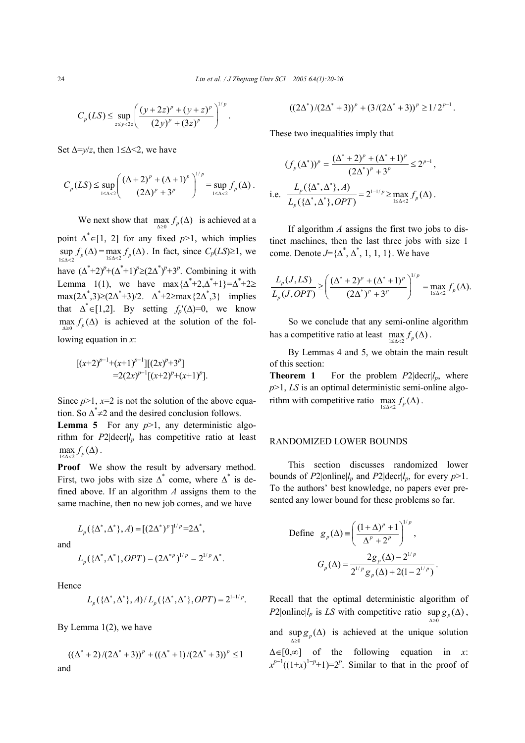$$
C_p(LS) \le \sup_{z \le y < 2z} \left( \frac{(y+2z)^p + (y+z)^p}{(2y)^p + (3z)^p} \right)^{1/p}.
$$

Set  $\Delta=$ *y/z*, then 1≤ $\Delta$  < 2, we have

$$
C_p(LS) \le \sup_{1 \le \Delta < 2} \left( \frac{(\Delta + 2)^p + (\Delta + 1)^p}{(2\Delta)^p + 3^p} \right)^{1/p} = \sup_{1 \le \Delta < 2} f_p(\Delta).
$$

We next show that  $\max_{\Delta \geq 0} f_p(\Delta)$  is achieved at a point  $\Delta^* \in [1, 2]$  for any fixed  $p > 1$ , which implies  $\sup_{1 \leq \Delta < 2} f_p(\Delta) = \max_{1 \leq \Delta < 2} f_p(\Delta)$ . In fact, since  $C_p(LS) \geq 1$ , we have  $(\Delta^*+2)^p+(\Delta^*+1)^p\geq (2\Delta^*)^p+3^p$ . Combining it with Lemma 1(1), we have  $\max\{\Delta^*+2, \Delta^*+1\} = \Delta^*+2 \ge$ max(2∆<sup>\*</sup>,3)≥(2∆<sup>\*+</sup>3)/2.  $\Delta$ <sup>\*+</sup>2≥max{2 $\Delta$ <sup>\*</sup>,3} implies that  $\Delta^* \in [1,2]$ . By setting  $f_p'(\Delta)=0$ , we know  $\max_{\Delta \geq 0} f_p(\Delta)$  is achieved at the solution of the following equation in *x*:

$$
\begin{aligned} [(x+2)^{p-1}+(x+1)^{p-1}][(2x)^p+3^p] \\ = & 2(2x)^{p-1}[(x+2)^p+(x+1)^p]. \end{aligned}
$$

Since  $p>1$ ,  $x=2$  is not the solution of the above equation. So  $\Delta^* \neq 2$  and the desired conclusion follows.

**Lemma 5** For any  $p>1$ , any deterministic algorithm for  $P2|\text{decr}|l_p$  has competitive ratio at least  $1 \leq \Delta < 2$  $\max_{1 \leq \Delta < 2} f_p(\Delta)$ .

**Proof** We show the result by adversary method. First, two jobs with size  $\Delta^*$  come, where  $\Delta^*$  is defined above. If an algorithm *A* assigns them to the same machine, then no new job comes, and we have

and

$$
L_p(\{\Delta^*, \Delta^*\}, OPT) = (2\Delta^{*p})^{1/p} = 2^{1/p} \Delta^*.
$$

 $L_p({{\Delta}^*, {\Delta}^*}, A) = [(2{\Delta}^*)^p]^{1/p} = 2{\Delta}^*,$ 

Hence

$$
L_p(\{\Delta^*, \Delta^*\}, A)/L_p(\{\Delta^*, \Delta^*\}, OPT) = 2^{1-1/p}.
$$

By Lemma 1(2), we have

$$
((\Delta^* + 2)/(2\Delta^* + 3))^p + ((\Delta^* + 1)/(2\Delta^* + 3))^p \le 1
$$
  
and

$$
((2\Delta^*)/(2\Delta^*+3))^p + (3/(2\Delta^*+3))^p \ge 1/2^{p-1}
$$
.

These two inequalities imply that

$$
(f_p(\Delta^*))^p = \frac{(\Delta^* + 2)^p + (\Delta^* + 1)^p}{(2\Delta^*)^p + 3^p} \le 2^{p-1},
$$
  
i.e. 
$$
\frac{L_p(\{\Delta^*, \Delta^*\}, A)}{L_p(\{\Delta^*, \Delta^*\}, OPT)} = 2^{1-1/p} \ge \max_{1 \le \Delta < 2} f_p(\Delta).
$$

If algorithm *A* assigns the first two jobs to distinct machines, then the last three jobs with size 1 come. Denote  $J = \{\Delta^*, \Delta^*, 1, 1, 1\}$ . We have

$$
\frac{L_p(J,LS)}{L_p(J,OPT)} \ge \left( \frac{(\Delta^* + 2)^p + (\Delta^* + 1)^p}{(2\Delta^*)^p + 3^p} \right)^{1/p} = \max_{1 \le \Delta < 2} f_p(\Delta).
$$

So we conclude that any semi-online algorithm has a competitive ratio at least  $\max_{1 \leq \Delta < 2} f_p(\Delta)$ .

 By Lemmas 4 and 5, we obtain the main result of this section:

**Theorem 1** For the problem  $P2|\text{decr}|_{p}$ , where *p*>1, *LS* is an optimal deterministic semi-online algorithm with competitive ratio  $\max_{1 \leq \Delta < 2} f_p(\Delta)$ .

## RANDOMIZED LOWER BOUNDS

This section discusses randomized lower bounds of *P*2|online| $l_p$  and *P*2|decr| $l_p$ , for every  $p > 1$ . To the authors' best knowledge, no papers ever presented any lower bound for these problems so far.

Define 
$$
g_p(\Delta) = \left(\frac{(1+\Delta)^p + 1}{\Delta^p + 2^p}\right)^{1/p}
$$
,  
\n
$$
G_p(\Delta) = \frac{2g_p(\Delta) - 2^{1/p}}{2^{1/p}g_p(\Delta) + 2(1 - 2^{1/p})}.
$$

Recall that the optimal deterministic algorithm of  $P2|\text{online}|l_p$  is *LS* with competitive ratio  $\sup_{\Delta \geq 0} g_p(\Delta)$ , and  $\sup_{\Delta \geq 0} g_{p}(\Delta)$  is achieved at the unique solution ∆∈[0,∞] of the following equation in *x*:  $x^{p-1}((1+x)^{1-p}+1)=2^p$ . Similar to that in the proof of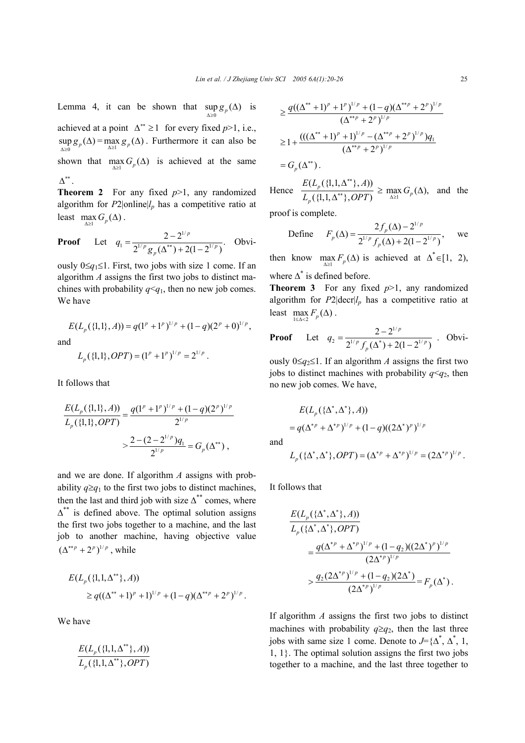Lemma 4, it can be shown that  $\sup_{\Delta \geq 0} g_p(\Delta)$  is

achieved at a point  $\Delta^{**} \ge 1$  for every fixed *p*>1, i.e.,  $\Delta \geq 0$  $\sup_{\Delta \geq 0} g_p(\Delta) = \max_{\Delta \geq 1} g_p(\Delta)$ . Furthermore it can also be shown that  $\max_{\Delta \geq 1} G_p(\Delta)$  is achieved at the same  $\Lambda^{**}$  .

**Theorem 2** For any fixed *p*>1, any randomized algorithm for  $P2|online|l_p$  has a competitive ratio at least  $\max_{\Delta \geq 1} G_p(\Delta)$ .

**Proof** Let 
$$
q_1 = \frac{2 - 2^{1/p}}{2^{1/p} g_p(\Delta^{**}) + 2(1 - 2^{1/p})}
$$
. Obvi-

ously 0≤*q*1≤1. First, two jobs with size 1 come. If an algorithm *A* assigns the first two jobs to distinct machines with probability  $q \leq q_1$ , then no new job comes. We have

$$
E(L_p(\{1,1\}, A)) = q(1^p + 1^p)^{1/p} + (1 - q)(2^p + 0)^{1/p},
$$
  
and  

$$
L_p(\{1,1\}, OPT) = (1^p + 1^p)^{1/p} = 2^{1/p}.
$$

It follows that

$$
\frac{E(L_p(\{1,1\},A))}{L_p(\{1,1\},OPT)} = \frac{q(1^p + 1^p)^{1/p} + (1-q)(2^p)^{1/p}}{2^{1/p}}
$$

$$
> \frac{2 - (2 - 2^{1/p})q_1}{2^{1/p}} = G_p(\Delta^{**}),
$$

and we are done. If algorithm *A* assigns with probability  $q \geq q_1$  to the first two jobs to distinct machines, then the last and third job with size  $\Delta^{**}$  comes, where  $\Delta^{**}$  is defined above. The optimal solution assigns the first two jobs together to a machine, and the last job to another machine, having objective value  $(\Delta^{**p} + 2^p)^{1/p}$ , while

$$
E(L_p({1,1,\Delta^{**}\},A))
$$
  
\n
$$
\geq q((\Delta^{**}+1)^p+1)^{1/p}+(1-q)(\Delta^{**p}+2^p)^{1/p}.
$$

We have

$$
\frac{E(L_p(\{1,1,\Delta^{**}\},A))}{L_p(\{1,1,\Delta^{**}\},OPT)}
$$

$$
\geq \frac{q((\Delta^{**}+1)^p+1^p)^{1/p}+(1-q)(\Delta^{**p}+2^p)^{1/p}}{(\Delta^{**p}+2^p)^{1/p}}
$$
  

$$
\geq 1+\frac{(((\Delta^{**}+1)^p+1)^{1/p}-(\Delta^{**p}+2^p)^{1/p})q_1}{(\Delta^{**p}+2^p)^{1/p}}
$$

 $=G_{p}(\Delta^{**})$ .

Hence 
$$
\frac{E(L_p(\{1,1,\Delta^{**}\},A))}{L_p(\{1,1,\Delta^{**}\},OPT)} \ge \max_{\Delta \ge 1} G_p(\Delta), \text{ and the}
$$

proof is complete.

Define 
$$
F_p(\Delta) = \frac{2f_p(\Delta) - 2^{1/p}}{2^{1/p} f_p(\Delta) + 2(1 - 2^{1/p})}
$$
, we

then know  $\max_{\Delta \geq 1} F_p(\Delta)$  is achieved at  $\Delta^* \in [1, 2)$ , where  $\Delta^*$  is defined before.

**Theorem 3** For any fixed  $p>1$ , any randomized algorithm for  $P2|\text{decr}|/p$  has a competitive ratio at least  $\max_{1 \leq \Delta < 2} F_p(\Delta)$ .

**Proof** Let 
$$
q_2 = \frac{2 - 2^{1/p}}{2^{1/p} f_p(\Delta^*) + 2(1 - 2^{1/p})}
$$
. Obvi-

ously  $0≤q_2≤1$ . If an algorithm *A* assigns the first two jobs to distinct machines with probability  $q < q_2$ , then no new job comes. We have,

$$
E(L_p(\{\Delta^*, \Delta^*\}, A))
$$
  
=  $q(\Delta^{*p} + \Delta^{*p})^{1/p} + (1 - q)((2\Delta^*)^p)^{1/p}$ 

and

$$
L_p(\{\Delta^*,\Delta^*\},OPT) = (\Delta^{*p} + \Delta^{*p})^{1/p} = (2\Delta^{*p})^{1/p}.
$$

It follows that

$$
\frac{E(L_p(\{\Delta^*, \Delta^*\}, A))}{L_p(\{\Delta^*, \Delta^*\}, OPT)} = \frac{q(\Delta^{*p} + \Delta^{*p})^{1/p} + (1 - q_2)((2\Delta^*)^p)^{1/p}}{(2\Delta^{*p})^{1/p}} \\ > \frac{q_2(2\Delta^{*p})^{1/p} + (1 - q_2)(2\Delta^*)}{(2\Delta^{*p})^{1/p}} = F_p(\Delta^*).
$$

If algorithm *A* assigns the first two jobs to distinct machines with probability  $q \geq q_2$ , then the last three jobs with same size 1 come. Denote to  $J = {\Delta^*, \Delta^*, 1}$ , 1, 1}. The optimal solution assigns the first two jobs together to a machine, and the last three together to